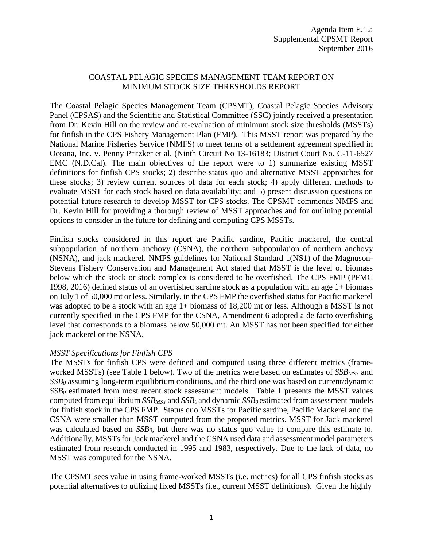## COASTAL PELAGIC SPECIES MANAGEMENT TEAM REPORT ON MINIMUM STOCK SIZE THRESHOLDS REPORT

The Coastal Pelagic Species Management Team (CPSMT), Coastal Pelagic Species Advisory Panel (CPSAS) and the Scientific and Statistical Committee (SSC) jointly received a presentation from Dr. Kevin Hill on the review and re-evaluation of minimum stock size thresholds (MSSTs) for finfish in the CPS Fishery Management Plan (FMP). This MSST report was prepared by the National Marine Fisheries Service (NMFS) to meet terms of a settlement agreement specified in Oceana, Inc. v. Penny Pritzker et al. (Ninth Circuit No 13-16183; District Court No. C-11-6527 EMC (N.D.Cal). The main objectives of the report were to 1) summarize existing MSST definitions for finfish CPS stocks; 2) describe status quo and alternative MSST approaches for these stocks; 3) review current sources of data for each stock; 4) apply different methods to evaluate MSST for each stock based on data availability; and 5) present discussion questions on potential future research to develop MSST for CPS stocks. The CPSMT commends NMFS and Dr. Kevin Hill for providing a thorough review of MSST approaches and for outlining potential options to consider in the future for defining and computing CPS MSSTs.

Finfish stocks considered in this report are Pacific sardine, Pacific mackerel, the central subpopulation of northern anchovy (CSNA), the northern subpopulation of northern anchovy (NSNA), and jack mackerel. NMFS guidelines for National Standard 1(NS1) of the Magnuson-Stevens Fishery Conservation and Management Act stated that MSST is the level of biomass below which the stock or stock complex is considered to be overfished. The CPS FMP (PFMC 1998, 2016) defined status of an overfished sardine stock as a population with an age 1+ biomass on July 1 of 50,000 mt or less. Similarly, in the CPS FMP the overfished status for Pacific mackerel was adopted to be a stock with an age 1+ biomass of 18,200 mt or less. Although a MSST is not currently specified in the CPS FMP for the CSNA, Amendment 6 adopted a de facto overfishing level that corresponds to a biomass below 50,000 mt. An MSST has not been specified for either jack mackerel or the NSNA.

## *MSST Specifications for Finfish CPS*

The MSSTs for finfish CPS were defined and computed using three different metrics (frameworked MSSTs) (see Table 1 below). Two of the metrics were based on estimates of *SSB<sub>MSY</sub>* and *SSB0* assuming long-term equilibrium conditions, and the third one was based on current/dynamic  $SSB<sub>0</sub>$  estimated from most recent stock assessment models. Table 1 presents the MSST values computed from equilibrium *SSB<sub>MSY</sub>* and *SSB<sub>0</sub>* and dynamic *SSB<sub>0</sub>* estimated from assessment models for finfish stock in the CPS FMP. Status quo MSSTs for Pacific sardine, Pacific Mackerel and the CSNA were smaller than MSST computed from the proposed metrics. MSST for Jack mackerel was calculated based on *SSB<sub>0</sub>*, but there was no status quo value to compare this estimate to. Additionally, MSSTs for Jack mackerel and the CSNA used data and assessment model parameters estimated from research conducted in 1995 and 1983, respectively. Due to the lack of data, no MSST was computed for the NSNA.

The CPSMT sees value in using frame-worked MSSTs (i.e. metrics) for all CPS finfish stocks as potential alternatives to utilizing fixed MSSTs (i.e., current MSST definitions). Given the highly